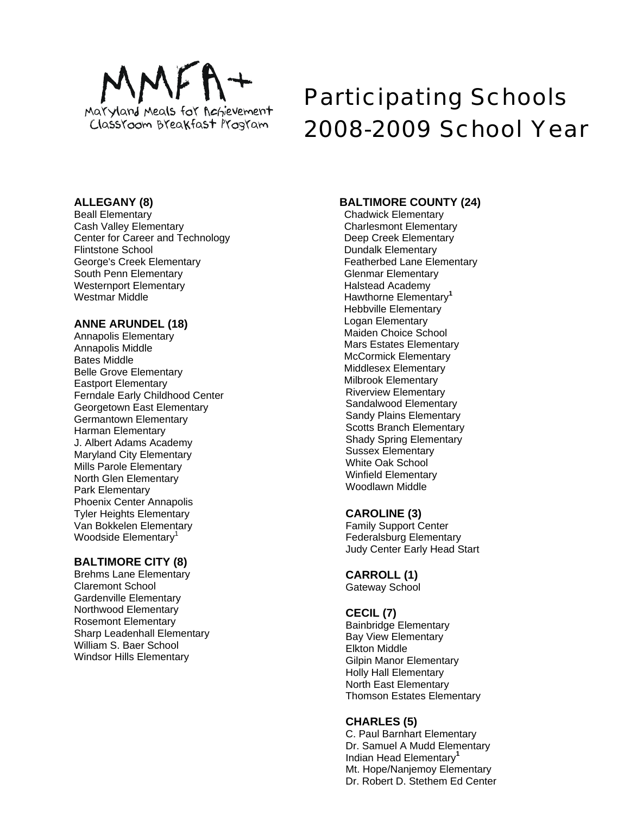

# Participating Schools 2008-2009 School Year

# **ALLEGANY (8)**

Beall Elementary Cash Valley Elementary Center for Career and Technology Flintstone School George's Creek Elementary South Penn Elementary Westernport Elementary Westmar Middle

# **ANNE ARUNDEL (18)**

Annapolis Elementary Annapolis Middle Bates Middle Belle Grove Elementary Eastport Elementary Ferndale Early Childhood Center Georgetown East Elementary Germantown Elementary Harman Elementary J. Albert Adams Academy Maryland City Elementary Mills Parole Elementary North Glen Elementary Park Elementary Phoenix Center Annapolis Tyler Heights Elementary Van Bokkelen Elementary Woodside Elementary<sup>1</sup>

# **BALTIMORE CITY (8)**

Brehms Lane Elementary Claremont School Gardenville Elementary Northwood Elementary Rosemont Elementary Sharp Leadenhall Elementary William S. Baer School Windsor Hills Elementary

# **BALTIMORE COUNTY (24)**

Chadwick Elementary Charlesmont Elementary Deep Creek Elementary Dundalk Elementary Featherbed Lane Elementary Glenmar Elementary Halstead Academy Hawthorne Elementary**<sup>1</sup>** Hebbville Elementary Logan Elementary Maiden Choice School Mars Estates Elementary McCormick Elementary Middlesex Elementary Milbrook Elementary Riverview Elementary Sandalwood Elementary Sandy Plains Elementary Scotts Branch Elementary Shady Spring Elementary Sussex Elementary White Oak School Winfield Elementary Woodlawn Middle

# **CAROLINE (3)**

Family Support Center Federalsburg Elementary Judy Center Early Head Start

# **CARROLL (1)**

Gateway School

# **CECIL (7)**

Bainbridge Elementary Bay View Elementary Elkton Middle Gilpin Manor Elementary Holly Hall Elementary North East Elementary Thomson Estates Elementary

# **CHARLES (5)**

C. Paul Barnhart Elementary Dr. Samuel A Mudd Elementary Indian Head Elementary**<sup>1</sup>** Mt. Hope/Nanjemoy Elementary Dr. Robert D. Stethem Ed Center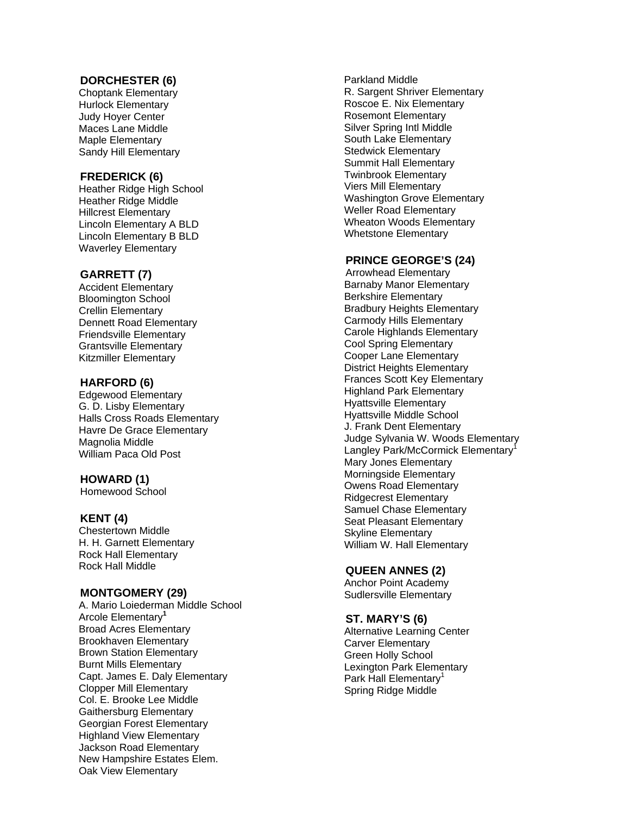# **DORCHESTER (6)**

Choptank Elementary Hurlock Elementary Judy Hoyer Center Maces Lane Middle Maple Elementary Sandy Hill Elementary

## **FREDERICK (6)**

Heather Ridge High School Heather Ridge Middle Hillcrest Elementary Lincoln Elementary A BLD Lincoln Elementary B BLD Waverley Elementary

## **GARRETT (7)**

Accident Elementary Bloomington School Crellin Elementary Dennett Road Elementary Friendsville Elementary Grantsville Elementary Kitzmiller Elementary

## **HARFORD (6)**

Edgewood Elementary G. D. Lisby Elementary Halls Cross Roads Elementary Havre De Grace Elementary Magnolia Middle William Paca Old Post

## **HOWARD (1)**

Homewood School

#### **KENT (4)**

Chestertown Middle H. H. Garnett Elementary Rock Hall Elementary Rock Hall Middle

#### **MONTGOMERY (29)**

A. Mario Loiederman Middle School Arcole Elementary **1** Broad Acres Elementary Brookhaven Elementary Brown Station Elementary Burnt Mills Elementary Capt. James E. Daly Elementary Clopper Mill Elementary Col. E. Brooke Lee Middle Gaithersburg Elementary Georgian Forest Elementary Highland View Elementary Jackson Road Elementary New Hampshire Estates Elem. Oak View Elementary

Parkland Middle R. Sargent Shriver Elementary Roscoe E. Nix Elementary Rosemont Elementary Silver Spring Intl Middle South Lake Elementary Stedwick Elementary Summit Hall Elementary Twinbrook Elementary Viers Mill Elementary Washington Grove Elementary Weller Road Elementary Wheaton Woods Elementary Whetstone Elementary

## **PRINCE GEORGE'S (24)**

Arrowhead Elementary Barnaby Manor Elementary Berkshire Elementary Bradbury Heights Elementary Carmody Hills Elementary Carole Highlands Elementary Cool Spring Elementary Cooper Lane Elementary District Heights Elementary Frances Scott Key Elementary Highland Park Elementary Hyattsville Elementary Hyattsville Middle School J. Frank Dent Elementary Judge Sylvania W. Woods Elementary Langley Park/McCormick Elementary<sup>1</sup> Mary Jones Elementary Morningside Elementary Owens Road Elementary Ridgecrest Elementary Samuel Chase Elementary Seat Pleasant Elementary Skyline Elementary William W. Hall Elementary

## **QUEEN ANNES (2)**

Anchor Point Academy Sudlersville Elementary

#### **ST. MARY'S (6)**

Alternative Learning Center Carver Elementary Green Holly School Lexington Park Elementary Park Hall Elementary<sup>1</sup> Spring Ridge Middle